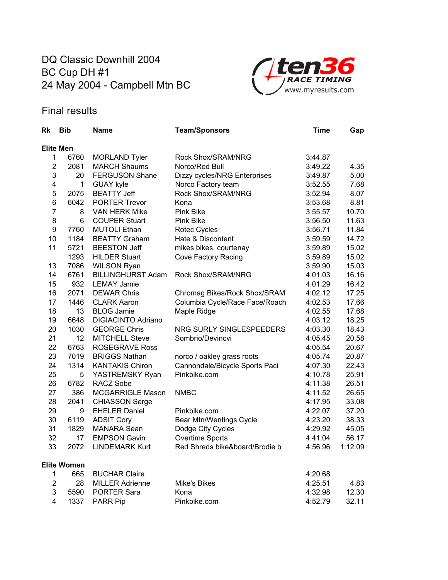## DQ Classic Downhill 2004 BC Cup DH #1 24 May 2004 - Campbell Mtn BC



## Final results

| Rk             | <b>Bib</b>         | <b>Name</b>               | <b>Team/Sponsors</b>           | Time    | Gap     |
|----------------|--------------------|---------------------------|--------------------------------|---------|---------|
|                | <b>Elite Men</b>   |                           |                                |         |         |
| 1              | 6760               | <b>MORLAND Tyler</b>      | Rock Shox/SRAM/NRG             | 3:44.87 |         |
| $\overline{2}$ | 2081               | <b>MARCH Shaums</b>       | Norco/Red Bull                 | 3:49.22 | 4.35    |
| 3              | 20                 | <b>FERGUSON Shane</b>     | Dizzy cycles/NRG Enterprises   | 3:49.87 | 5.00    |
| 4              | $\mathbf 1$        | <b>GUAY kyle</b>          | Norco Factory team             | 3:52.55 | 7.68    |
| 5              | 2075               | <b>BEATTY Jeff</b>        | Rock Shox/SRAM/NRG             | 3:52.94 | 8.07    |
| 6              | 6042               | <b>PORTER Trevor</b>      | Kona                           | 3:53.68 | 8.81    |
| $\overline{7}$ | 8                  | <b>VAN HERK Mike</b>      | <b>Pink Bike</b>               | 3:55.57 | 10.70   |
| 8              | 6                  | <b>COUPER Stuart</b>      | Pink Bike                      | 3:56.50 | 11.63   |
| 9              | 7760               | <b>MUTOLI Ethan</b>       | Rotec Cycles                   | 3:56.71 | 11.84   |
| 10             | 1184               | <b>BEATTY Graham</b>      | Hate & Discontent              | 3:59.59 | 14.72   |
| 11             | 5721               | <b>BEESTON Jeff</b>       | mikes bikes, courtenay         | 3:59.89 | 15.02   |
|                | 1293               | <b>HILDER Stuart</b>      | Cove Factory Racing            | 3:59.89 | 15.02   |
| 13             | 7086               | <b>WILSON Ryan</b>        |                                | 3:59.90 | 15.03   |
| 14             | 6761               | <b>BILLINGHURST Adam</b>  | Rock Shox/SRAM/NRG             | 4:01.03 | 16.16   |
| 15             | 932                | <b>LEMAY Jamie</b>        |                                | 4:01.29 | 16.42   |
| 16             | 2071               | <b>DEWAR Chris</b>        | Chromag Bikes/Rock Shox/SRAM   | 4:02.12 | 17.25   |
| 17             | 1446               | <b>CLARK Aaron</b>        | Columbia Cycle/Race Face/Roach | 4:02.53 | 17.66   |
| 18             | 13                 | <b>BLOG Jamie</b>         | Maple Ridge                    | 4:02.55 | 17.68   |
| 19             | 6648               | <b>DIGIACINTO Adriano</b> |                                | 4:03.12 | 18.25   |
| 20             | 1030               | <b>GEORGE Chris</b>       | NRG SURLY SINGLESPEEDERS       | 4:03.30 | 18.43   |
| 21             | 12                 | <b>MITCHELL Steve</b>     | Sombrio/Devincvi               | 4:05.45 | 20.58   |
| 22             | 6763               | <b>ROSEGRAVE Ross</b>     |                                | 4:05.54 | 20.67   |
| 23             | 7019               | <b>BRIGGS Nathan</b>      | norco / oakley grass roots     | 4:05.74 | 20.87   |
| 24             | 1314               | <b>KANTAKIS Chiron</b>    | Cannondale/Bicycle Sports Paci | 4:07.30 | 22.43   |
| 25             | 5                  | YASTREMSKY Ryan           | Pinkbike.com                   | 4:10.78 | 25.91   |
| 26             | 6782               | <b>RACZ Sobe</b>          |                                | 4:11.38 | 26.51   |
| 27             | 386                | <b>MCGARRIGLE Mason</b>   | <b>NMBC</b>                    | 4:11.52 | 26.65   |
| 28             | 2041               | <b>CHIASSON Serge</b>     |                                | 4:17.95 | 33.08   |
| 29             | 9                  | <b>EHELER Daniel</b>      | Pinkbike.com                   | 4:22.07 | 37.20   |
| 30             | 6119               | <b>ADSIT Cory</b>         | Bear Mtn/Wentings Cycle        | 4:23.20 | 38.33   |
| 31             | 1829               | <b>MANARA Sean</b>        | Dodge City Cycles              | 4:29.92 | 45.05   |
| 32             | 17                 | <b>EMPSON Gavin</b>       | Overtime Sports                | 4:41.04 | 56.17   |
| 33             | 2072               | <b>LINDEMARK Kurt</b>     | Red Shreds bike&board/Brodie b | 4:56.96 | 1:12.09 |
|                | <b>Elite Women</b> |                           |                                |         |         |
| 1              | 665                | <b>BUCHAR Claire</b>      |                                | 4:20.68 |         |
| $\overline{2}$ | 28                 | <b>MILLER Adrienne</b>    | <b>Mike's Bikes</b>            | 4:25.51 | 4.83    |
| 3              | 5590               | <b>PORTER Sara</b>        | Kona                           | 4:32.98 | 12.30   |
| 4              | 1337               | <b>PARR Pip</b>           | Pinkbike.com                   | 4:52.79 | 32.11   |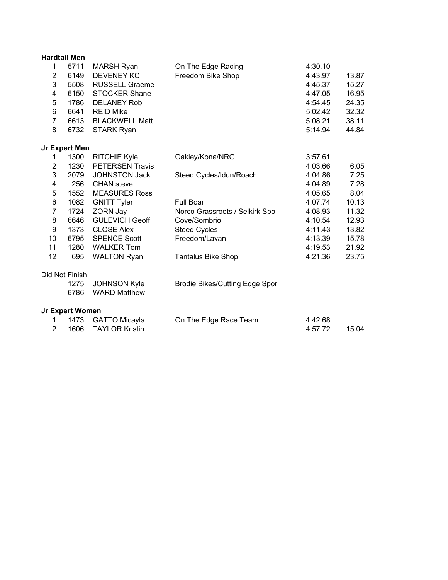|                | <b>Hardtail Men</b>    |                        |                                       |         |       |
|----------------|------------------------|------------------------|---------------------------------------|---------|-------|
| 1              | 5711                   | <b>MARSH Ryan</b>      | On The Edge Racing                    | 4:30.10 |       |
| 2              | 6149                   | <b>DEVENEY KC</b>      | Freedom Bike Shop                     | 4:43.97 | 13.87 |
| 3              | 5508                   | <b>RUSSELL Graeme</b>  |                                       | 4:45.37 | 15.27 |
| 4              | 6150                   | <b>STOCKER Shane</b>   |                                       | 4:47.05 | 16.95 |
| 5              | 1786                   | <b>DELANEY Rob</b>     |                                       | 4:54.45 | 24.35 |
| 6              | 6641                   | <b>REID Mike</b>       |                                       | 5:02.42 | 32.32 |
| $\overline{7}$ | 6613                   | <b>BLACKWELL Matt</b>  |                                       | 5:08.21 | 38.11 |
| 8              | 6732                   | <b>STARK Ryan</b>      |                                       | 5:14.94 | 44.84 |
|                | Jr Expert Men          |                        |                                       |         |       |
| 1              | 1300                   | <b>RITCHIE Kyle</b>    | Oakley/Kona/NRG                       | 3:57.61 |       |
| $\overline{2}$ | 1230                   | <b>PETERSEN Travis</b> |                                       | 4:03.66 | 6.05  |
| 3              | 2079                   | <b>JOHNSTON Jack</b>   | Steed Cycles/Idun/Roach               | 4:04.86 | 7.25  |
| 4              | 256                    | <b>CHAN</b> steve      |                                       | 4:04.89 | 7.28  |
| 5              | 1552                   | <b>MEASURES Ross</b>   |                                       | 4:05.65 | 8.04  |
| 6              | 1082                   | <b>GNITT Tyler</b>     | Full Boar                             | 4:07.74 | 10.13 |
| $\overline{7}$ | 1724                   | ZORN Jay               | Norco Grassroots / Selkirk Spo        | 4:08.93 | 11.32 |
| 8              | 6646                   | <b>GULEVICH Geoff</b>  | Cove/Sombrio                          | 4:10.54 | 12.93 |
| 9              | 1373                   | <b>CLOSE Alex</b>      | <b>Steed Cycles</b>                   | 4:11.43 | 13.82 |
| 10             | 6795                   | <b>SPENCE Scott</b>    | Freedom/Lavan                         | 4:13.39 | 15.78 |
| 11             | 1280                   | <b>WALKER Tom</b>      |                                       | 4:19.53 | 21.92 |
| 12             | 695                    | <b>WALTON Ryan</b>     | <b>Tantalus Bike Shop</b>             | 4:21.36 | 23.75 |
|                | Did Not Finish         |                        |                                       |         |       |
|                | 1275                   | <b>JOHNSON Kyle</b>    | <b>Brodie Bikes/Cutting Edge Spor</b> |         |       |
|                | 6786                   | <b>WARD Matthew</b>    |                                       |         |       |
|                | <b>Jr Expert Women</b> |                        |                                       |         |       |
| 1              | 1473                   | <b>GATTO Micayla</b>   | On The Edge Race Team                 | 4:42.68 |       |
| $\overline{2}$ | 1606                   | <b>TAYLOR Kristin</b>  |                                       | 4:57.72 | 15.04 |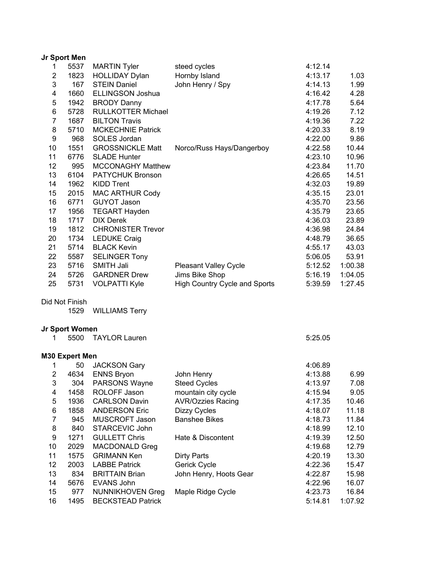|                  | Jr Sport Men   |                           |                               |         |         |
|------------------|----------------|---------------------------|-------------------------------|---------|---------|
| 1                | 5537           | <b>MARTIN Tyler</b>       | steed cycles                  | 4:12.14 |         |
| $\boldsymbol{2}$ | 1823           | <b>HOLLIDAY Dylan</b>     | Hornby Island                 | 4:13.17 | 1.03    |
| 3                | 167            | <b>STEIN Daniel</b>       | John Henry / Spy              | 4:14.13 | 1.99    |
| 4                | 1660           | <b>ELLINGSON Joshua</b>   |                               | 4:16.42 | 4.28    |
| 5                | 1942           | <b>BRODY Danny</b>        |                               | 4:17.78 | 5.64    |
| 6                | 5728           | <b>RULLKOTTER Michael</b> |                               | 4:19.26 | 7.12    |
| $\overline{7}$   | 1687           | <b>BILTON Travis</b>      |                               | 4:19.36 | 7.22    |
| 8                | 5710           | <b>MCKECHNIE Patrick</b>  |                               | 4:20.33 | 8.19    |
| 9                | 968            | SOLES Jordan              |                               | 4:22.00 | 9.86    |
| 10               | 1551           | <b>GROSSNICKLE Matt</b>   | Norco/Russ Hays/Dangerboy     | 4:22.58 | 10.44   |
| 11               | 6776           | <b>SLADE Hunter</b>       |                               | 4:23.10 | 10.96   |
| 12               | 995            | <b>MCCONAGHY Matthew</b>  |                               | 4:23.84 | 11.70   |
| 13               | 6104           | <b>PATYCHUK Bronson</b>   |                               | 4:26.65 | 14.51   |
| 14               | 1962           | <b>KIDD Trent</b>         |                               | 4:32.03 | 19.89   |
| 15               | 2015           | <b>MAC ARTHUR Cody</b>    |                               | 4:35.15 | 23.01   |
| 16               | 6771           | <b>GUYOT Jason</b>        |                               | 4:35.70 | 23.56   |
| 17               | 1956           | <b>TEGART Hayden</b>      |                               | 4:35.79 | 23.65   |
| 18               | 1717           | <b>DIX Derek</b>          |                               | 4:36.03 | 23.89   |
| 19               | 1812           | <b>CHRONISTER Trevor</b>  |                               | 4:36.98 | 24.84   |
| 20               | 1734           | <b>LEDUKE Craig</b>       |                               | 4:48.79 | 36.65   |
| 21               | 5714           | <b>BLACK Kevin</b>        |                               | 4:55.17 | 43.03   |
| 22               | 5587           | <b>SELINGER Tony</b>      |                               | 5:06.05 | 53.91   |
| 23               | 5716           | <b>SMITH Jali</b>         | <b>Pleasant Valley Cycle</b>  | 5:12.52 | 1:00.38 |
| 24               | 5726           | <b>GARDNER Drew</b>       | Jims Bike Shop                | 5:16.19 | 1:04.05 |
| 25               | 5731           | <b>VOLPATTI Kyle</b>      | High Country Cycle and Sports | 5:39.59 | 1:27.45 |
|                  | Did Not Finish |                           |                               |         |         |
|                  | 1529           | <b>WILLIAMS Terry</b>     |                               |         |         |
|                  |                |                           |                               |         |         |
|                  | Jr Sport Women |                           |                               |         |         |
| 1                | 5500           | <b>TAYLOR Lauren</b>      |                               | 5:25.05 |         |
|                  | M30 Expert Men |                           |                               |         |         |
| 1                | 50             | <b>JACKSON Gary</b>       |                               | 4:06.89 |         |
| $\overline{2}$   | 4634           | <b>ENNS Bryon</b>         | John Henry                    | 4:13.88 | 6.99    |
| 3                | 304            | PARSONS Wayne             | <b>Steed Cycles</b>           | 4:13.97 | 7.08    |
| 4                | 1458           | ROLOFF Jason              | mountain city cycle           | 4:15.94 | 9.05    |
| 5                | 1936           | <b>CARLSON Davin</b>      | <b>AVR/Ozzies Racing</b>      | 4:17.35 | 10.46   |
| 6                | 1858           | <b>ANDERSON Eric</b>      | Dizzy Cycles                  | 4:18.07 | 11.18   |
| $\overline{7}$   | 945            | MUSCROFT Jason            | <b>Banshee Bikes</b>          | 4:18.73 | 11.84   |
| 8                | 840            | <b>STARCEVIC John</b>     |                               | 4:18.99 | 12.10   |
| 9                | 1271           | <b>GULLETT Chris</b>      | Hate & Discontent             | 4:19.39 | 12.50   |
| 10               | 2029           | MACDONALD Greg            |                               | 4:19.68 | 12.79   |
| 11               | 1575           | <b>GRIMANN Ken</b>        | <b>Dirty Parts</b>            | 4:20.19 | 13.30   |
| 12               | 2003           | <b>LABBE Patrick</b>      | Gerick Cycle                  | 4:22.36 | 15.47   |
| 13               | 834            | <b>BRITTAIN Brian</b>     | John Henry, Hoots Gear        | 4:22.87 | 15.98   |
| 14               | 5676           | <b>EVANS John</b>         |                               | 4:22.96 | 16.07   |
| 15               | 977            | <b>NUNNIKHOVEN Greg</b>   | Maple Ridge Cycle             | 4:23.73 | 16.84   |
| 16               | 1495           | <b>BECKSTEAD Patrick</b>  |                               | 5:14.81 | 1:07.92 |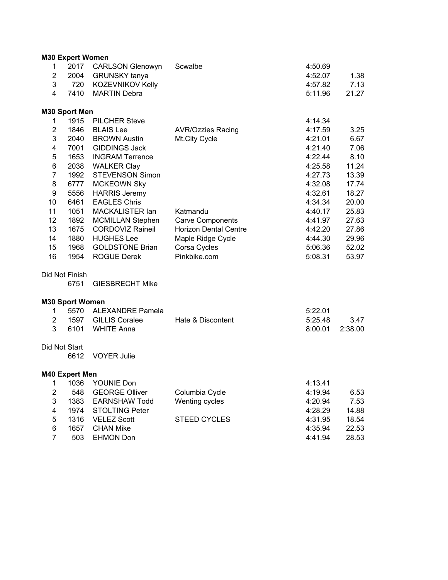|                | <b>M30 Expert Women</b> |                         |                              |         |         |
|----------------|-------------------------|-------------------------|------------------------------|---------|---------|
| 1              |                         | 2017 CARLSON Glenowyn   | Scwalbe                      | 4:50.69 |         |
| $\overline{2}$ |                         | 2004 GRUNSKY tanya      |                              | 4:52.07 | 1.38    |
| 3              |                         | 720 KOZEVNIKOV Kelly    |                              | 4:57.82 | 7.13    |
| 4              | 7410                    | <b>MARTIN Debra</b>     |                              | 5:11.96 | 21.27   |
|                | M30 Sport Men           |                         |                              |         |         |
| $\mathbf{1}$   |                         | 1915 PILCHER Steve      |                              | 4:14.34 |         |
| $\overline{2}$ | 1846                    | <b>BLAIS Lee</b>        | <b>AVR/Ozzies Racing</b>     | 4:17.59 | 3.25    |
| 3              | 2040                    | <b>BROWN Austin</b>     | Mt.City Cycle                | 4:21.01 | 6.67    |
| 4              | 7001                    | <b>GIDDINGS Jack</b>    |                              | 4:21.40 | 7.06    |
| 5              | 1653                    | <b>INGRAM Terrence</b>  |                              | 4:22.44 | 8.10    |
| 6              | 2038                    | <b>WALKER Clay</b>      |                              | 4:25.58 | 11.24   |
| $\overline{7}$ | 1992                    | <b>STEVENSON Simon</b>  |                              | 4:27.73 | 13.39   |
| 8              | 6777                    | <b>MCKEOWN Sky</b>      |                              | 4:32.08 | 17.74   |
| 9              | 5556                    | <b>HARRIS Jeremy</b>    |                              | 4:32.61 | 18.27   |
| 10             | 6461                    | <b>EAGLES Chris</b>     |                              | 4:34.34 | 20.00   |
| 11             | 1051                    | MACKALISTER lan         | Katmandu                     | 4:40.17 | 25.83   |
| 12             | 1892                    | <b>MCMILLAN Stephen</b> | <b>Carve Components</b>      | 4:41.97 | 27.63   |
| 13             | 1675                    | <b>CORDOVIZ Raineil</b> | <b>Horizon Dental Centre</b> | 4:42.20 | 27.86   |
| 14             | 1880                    | <b>HUGHES Lee</b>       | Maple Ridge Cycle            | 4:44.30 | 29.96   |
| 15             | 1968                    | <b>GOLDSTONE Brian</b>  | Corsa Cycles                 | 5:06.36 | 52.02   |
| 16             | 1954                    | <b>ROGUE Derek</b>      | Pinkbike.com                 | 5:08.31 | 53.97   |
|                | Did Not Finish          |                         |                              |         |         |
|                | 6751                    | <b>GIESBRECHT Mike</b>  |                              |         |         |
|                | <b>M30 Sport Women</b>  |                         |                              |         |         |
| 1              | 5570                    | <b>ALEXANDRE Pamela</b> |                              | 5:22.01 |         |
| $\overline{2}$ | 1597                    | <b>GILLIS Coralee</b>   | Hate & Discontent            | 5:25.48 | 3.47    |
| 3              | 6101                    | <b>WHITE Anna</b>       |                              | 8:00.01 | 2:38.00 |
|                | Did Not Start           |                         |                              |         |         |
|                | 6612                    | <b>VOYER Julie</b>      |                              |         |         |
|                | <b>M40 Expert Men</b>   |                         |                              |         |         |
| $\mathbf{1}$   | 1036                    | YOUNIE Don              |                              | 4:13.41 |         |
| $\overline{2}$ | 548                     | <b>GEORGE Olliver</b>   | Columbia Cycle               | 4:19.94 | 6.53    |
| 3              | 1383                    | <b>EARNSHAW Todd</b>    | Wenting cycles               | 4:20.94 | 7.53    |
| 4              | 1974                    | <b>STOLTING Peter</b>   |                              | 4:28.29 | 14.88   |
| 5              | 1316                    | <b>VELEZ Scott</b>      | <b>STEED CYCLES</b>          | 4:31.95 | 18.54   |
| 6              | 1657                    | <b>CHAN Mike</b>        |                              | 4:35.94 | 22.53   |
| $\overline{7}$ | 503                     | <b>EHMON Don</b>        |                              | 4:41.94 | 28.53   |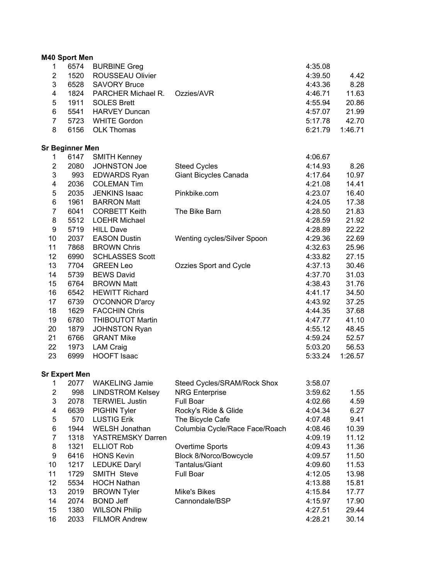|                         | M40 Sport Men          |                         |                                |         |         |
|-------------------------|------------------------|-------------------------|--------------------------------|---------|---------|
| 1                       | 6574                   | <b>BURBINE Greg</b>     |                                | 4:35.08 |         |
| $\overline{2}$          | 1520                   | ROUSSEAU Olivier        |                                | 4:39.50 | 4.42    |
| 3                       | 6528                   | <b>SAVORY Bruce</b>     |                                | 4:43.36 | 8.28    |
| $\overline{\mathbf{4}}$ | 1824                   | PARCHER Michael R.      | Ozzies/AVR                     | 4:46.71 | 11.63   |
| 5                       | 1911                   | <b>SOLES Brett</b>      |                                | 4:55.94 | 20.86   |
| 6                       | 5541                   | <b>HARVEY Duncan</b>    |                                | 4:57.07 | 21.99   |
| $\overline{7}$          | 5723                   | <b>WHITE Gordon</b>     |                                | 5:17.78 | 42.70   |
| 8                       | 6156                   | <b>OLK Thomas</b>       |                                | 6:21.79 | 1:46.71 |
|                         | <b>Sr Beginner Men</b> |                         |                                |         |         |
| 1.                      | 6147                   | <b>SMITH Kenney</b>     |                                | 4:06.67 |         |
| $\overline{2}$          | 2080                   | <b>JOHNSTON Joe</b>     | <b>Steed Cycles</b>            | 4:14.93 | 8.26    |
| 3                       | 993                    | <b>EDWARDS Ryan</b>     | Giant Bicycles Canada          | 4:17.64 | 10.97   |
| 4                       | 2036                   | <b>COLEMAN Tim</b>      |                                | 4:21.08 | 14.41   |
| 5                       | 2035                   | <b>JENKINS Isaac</b>    | Pinkbike.com                   | 4:23.07 | 16.40   |
| 6                       | 1961                   | <b>BARRON Matt</b>      |                                | 4:24.05 | 17.38   |
| $\overline{7}$          | 6041                   | <b>CORBETT Keith</b>    | The Bike Barn                  | 4:28.50 | 21.83   |
| 8                       | 5512                   | <b>LOEHR Michael</b>    |                                | 4:28.59 | 21.92   |
| 9                       | 5719                   | <b>HILL Dave</b>        |                                | 4:28.89 | 22.22   |
| 10                      | 2037                   | <b>EASON Dustin</b>     | Wenting cycles/Silver Spoon    | 4:29.36 | 22.69   |
| 11                      | 7868                   | <b>BROWN Chris</b>      |                                | 4:32.63 | 25.96   |
| 12                      | 6990                   | <b>SCHLASSES Scott</b>  |                                | 4:33.82 | 27.15   |
| 13                      | 7704                   | <b>GREEN Leo</b>        | Ozzies Sport and Cycle         | 4:37.13 | 30.46   |
| 14                      | 5739                   | <b>BEWS David</b>       |                                | 4:37.70 | 31.03   |
| 15                      | 6764                   | <b>BROWN Matt</b>       |                                | 4:38.43 | 31.76   |
| 16                      | 6542                   | <b>HEWITT Richard</b>   |                                | 4:41.17 | 34.50   |
| 17                      | 6739                   | <b>O'CONNOR D'arcy</b>  |                                | 4:43.92 | 37.25   |
| 18                      | 1629                   | <b>FACCHIN Chris</b>    |                                | 4:44.35 | 37.68   |
| 19                      | 6780                   | <b>THIBOUTOT Martin</b> |                                | 4:47.77 | 41.10   |
| 20                      | 1879                   |                         |                                | 4:55.12 | 48.45   |
| 21                      |                        | <b>JOHNSTON Ryan</b>    |                                |         |         |
|                         | 6766                   | <b>GRANT Mike</b>       |                                | 4:59.24 | 52.57   |
| 22                      | 1973                   | <b>LAM Craig</b>        |                                | 5:03.20 | 56.53   |
| 23                      | 6999                   | <b>HOOFT Isaac</b>      |                                | 5:33.24 | 1:26.57 |
|                         | <b>Sr Expert Men</b>   |                         |                                |         |         |
| 1                       | 2077                   | <b>WAKELING Jamie</b>   | Steed Cycles/SRAM/Rock Shox    | 3:58.07 |         |
| $\overline{c}$          | 998                    | <b>LINDSTROM Kelsey</b> | <b>NRG Enterprise</b>          | 3:59.62 | 1.55    |
| 3                       | 2078                   | <b>TERWIEL Justin</b>   | Full Boar                      | 4:02.66 | 4.59    |
| 4                       | 6639                   | PIGHIN Tyler            | Rocky's Ride & Glide           | 4:04.34 | 6.27    |
| 5                       | 570                    | <b>LUSTIG Erik</b>      | The Bicycle Cafe               | 4:07.48 | 9.41    |
| 6                       | 1944                   | <b>WELSH Jonathan</b>   | Columbia Cycle/Race Face/Roach | 4:08.46 | 10.39   |
| 7                       | 1318                   | YASTREMSKY Darren       |                                | 4:09.19 | 11.12   |
| 8                       | 1321                   | <b>ELLIOT Rob</b>       | Overtime Sports                | 4:09.43 | 11.36   |
| 9                       | 6416                   | <b>HONS Kevin</b>       | <b>Block 8/Norco/Bowcycle</b>  | 4:09.57 | 11.50   |
| 10                      | 1217                   | <b>LEDUKE Daryl</b>     | Tantalus/Giant                 | 4:09.60 | 11.53   |
| 11                      | 1729                   | SMITH Steve             | Full Boar                      | 4:12.05 | 13.98   |
| 12                      | 5534                   | <b>HOCH Nathan</b>      |                                | 4:13.88 | 15.81   |
| 13                      | 2019                   | <b>BROWN Tyler</b>      | Mike's Bikes                   | 4:15.84 | 17.77   |
| 14                      | 2074                   | <b>BOND Jeff</b>        | Cannondale/BSP                 | 4:15.97 | 17.90   |

15 1380 WILSON Philip 4:27.51 29.44 16 2033 FILMOR Andrew 4:28.21 30.14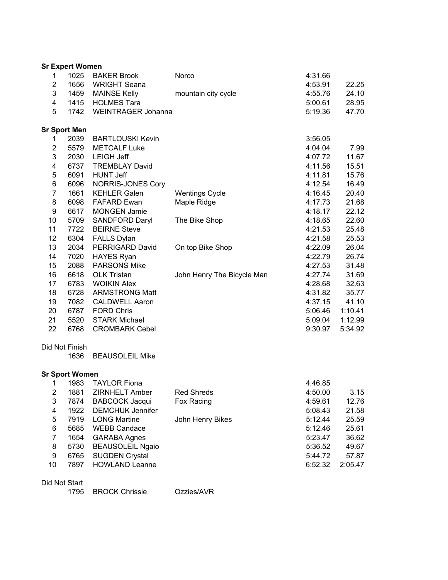|                         | <b>Sr Expert Women</b> |                          |                            |         |         |
|-------------------------|------------------------|--------------------------|----------------------------|---------|---------|
| $\mathbf 1$             | 1025                   | <b>BAKER Brook</b>       | Norco                      | 4:31.66 |         |
| $\boldsymbol{2}$        | 1656                   | <b>WRIGHT Seana</b>      |                            | 4:53.91 | 22.25   |
| 3                       | 1459                   | <b>MAINSE Kelly</b>      | mountain city cycle        | 4:55.76 | 24.10   |
| $\overline{\mathbf{4}}$ | 1415                   | <b>HOLMES Tara</b>       |                            | 5:00.61 | 28.95   |
| 5                       | 1742                   | WEINTRAGER Johanna       |                            | 5:19.36 | 47.70   |
|                         | <b>Sr Sport Men</b>    |                          |                            |         |         |
| 1                       | 2039                   | <b>BARTLOUSKI Kevin</b>  |                            | 3:56.05 |         |
| $\overline{2}$          | 5579                   | <b>METCALF Luke</b>      |                            | 4:04.04 | 7.99    |
| 3                       | 2030                   | <b>LEIGH Jeff</b>        |                            | 4:07.72 | 11.67   |
| 4                       | 6737                   | <b>TREMBLAY David</b>    |                            | 4:11.56 | 15.51   |
| 5                       | 6091                   | <b>HUNT Jeff</b>         |                            | 4:11.81 | 15.76   |
| 6                       | 6096                   | <b>NORRIS-JONES Cory</b> |                            | 4:12.54 | 16.49   |
| $\overline{7}$          | 1661                   | <b>KEHLER Galen</b>      | <b>Wentings Cycle</b>      | 4:16.45 | 20.40   |
| 8                       | 6098                   | <b>FAFARD Ewan</b>       | Maple Ridge                | 4:17.73 | 21.68   |
| 9                       | 6617                   | MONGEN Jamie             |                            | 4:18.17 | 22.12   |
| 10                      | 5709                   | <b>SANDFORD Daryl</b>    | The Bike Shop              | 4:18.65 | 22.60   |
| 11                      | 7722                   | <b>BEIRNE Steve</b>      |                            | 4:21.53 | 25.48   |
| 12                      | 6304                   | <b>FALLS Dylan</b>       |                            | 4:21.58 | 25.53   |
| 13                      | 2034                   | PERRIGARD David          | On top Bike Shop           | 4:22.09 | 26.04   |
| 14                      | 7020                   | <b>HAYES Ryan</b>        |                            | 4:22.79 | 26.74   |
| 15                      | 2088                   | <b>PARSONS Mike</b>      |                            | 4:27.53 | 31.48   |
| 16                      | 6618                   | <b>OLK Tristan</b>       | John Henry The Bicycle Man | 4:27.74 | 31.69   |
| 17                      | 6783                   | <b>WOIKIN Alex</b>       |                            | 4:28.68 | 32.63   |
| 18                      | 6728                   | <b>ARMSTRONG Matt</b>    |                            | 4:31.82 | 35.77   |
| 19                      | 7082                   | <b>CALDWELL Aaron</b>    |                            | 4:37.15 | 41.10   |
| 20                      | 6787                   | <b>FORD Chris</b>        |                            | 5:06.46 | 1:10.41 |
| 21                      | 5520                   | <b>STARK Michael</b>     |                            | 5:09.04 | 1:12.99 |
| 22                      | 6768                   | <b>CROMBARK Cebel</b>    |                            | 9:30.97 | 5:34.92 |
|                         | Did Not Finish         |                          |                            |         |         |
|                         | 1636                   | <b>BEAUSOLEIL Mike</b>   |                            |         |         |
|                         | <b>Sr Sport Women</b>  |                          |                            |         |         |
| 1                       | 1983                   | <b>TAYLOR Fiona</b>      |                            | 4:46.85 |         |
| $\boldsymbol{2}$        | 1881                   | ZIRNHELT Amber           | <b>Red Shreds</b>          | 4:50.00 | 3.15    |
| 3                       | 7874                   | <b>BABCOCK Jacqui</b>    | Fox Racing                 | 4:59.61 | 12.76   |
| 4                       | 1922                   | <b>DEMCHUK Jennifer</b>  |                            | 5:08.43 | 21.58   |
| 5                       | 7919                   | <b>LONG Martine</b>      | John Henry Bikes           | 5:12.44 | 25.59   |
| $6\phantom{1}$          | 5685                   | <b>WEBB Candace</b>      |                            | 5:12.46 | 25.61   |
| $\overline{7}$          | 1654                   | <b>GARABA Agnes</b>      |                            | 5:23.47 | 36.62   |

8 5730 BEAUSOLEIL Ngaio 5:36.52 49.67 9 6765 SUGDEN Crystal 5:44.72 57.87 10 7897 HOWLAND Leanne 6:52.32 2:05.47

Did Not Start

1795 BROCK Chrissie Ozzies/AVR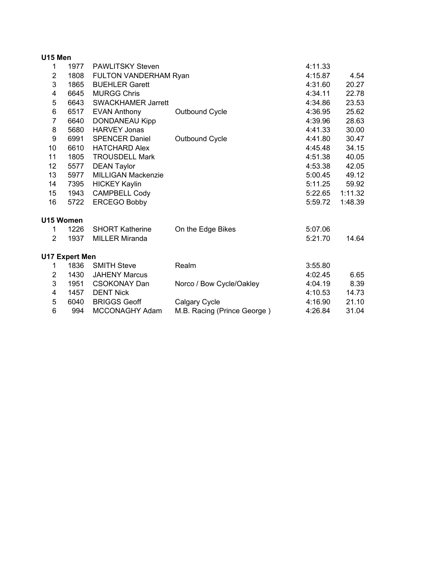| U15 Men        |                       |                           |                             |         |         |  |  |  |
|----------------|-----------------------|---------------------------|-----------------------------|---------|---------|--|--|--|
| 1              | 1977                  | PAWLITSKY Steven          |                             | 4:11.33 |         |  |  |  |
| $\overline{2}$ | 1808                  | FULTON VANDERHAM Ryan     |                             | 4:15.87 | 4.54    |  |  |  |
| 3              | 1865                  | <b>BUEHLER Garett</b>     |                             | 4:31.60 | 20.27   |  |  |  |
| 4              | 6645                  | <b>MURGG Chris</b>        |                             | 4:34.11 | 22.78   |  |  |  |
| 5              | 6643                  | <b>SWACKHAMER Jarrett</b> |                             | 4:34.86 | 23.53   |  |  |  |
| 6              | 6517                  | <b>EVAN Anthony</b>       | Outbound Cycle              | 4:36.95 | 25.62   |  |  |  |
| $\overline{7}$ | 6640                  | <b>DONDANEAU Kipp</b>     |                             | 4:39.96 | 28.63   |  |  |  |
| 8              | 5680                  | <b>HARVEY Jonas</b>       |                             | 4:41.33 | 30.00   |  |  |  |
| 9              | 6991                  | <b>SPENCER Daniel</b>     | Outbound Cycle              | 4:41.80 | 30.47   |  |  |  |
| 10             | 6610                  | <b>HATCHARD Alex</b>      |                             | 4:45.48 | 34.15   |  |  |  |
| 11             | 1805                  | <b>TROUSDELL Mark</b>     |                             | 4:51.38 | 40.05   |  |  |  |
| 12             | 5577                  | <b>DEAN Taylor</b>        |                             | 4:53.38 | 42.05   |  |  |  |
| 13             | 5977                  | <b>MILLIGAN Mackenzie</b> |                             | 5:00.45 | 49.12   |  |  |  |
| 14             | 7395                  | <b>HICKEY Kaylin</b>      |                             | 5:11.25 | 59.92   |  |  |  |
| 15             | 1943                  | <b>CAMPBELL Cody</b>      |                             | 5:22.65 | 1:11.32 |  |  |  |
| 16             | 5722                  | <b>ERCEGO Bobby</b>       |                             | 5:59.72 | 1:48.39 |  |  |  |
| U15 Women      |                       |                           |                             |         |         |  |  |  |
| 1              | 1226                  | <b>SHORT Katherine</b>    | On the Edge Bikes           | 5:07.06 |         |  |  |  |
| $\overline{2}$ | 1937                  | <b>MILLER Miranda</b>     |                             | 5:21.70 | 14.64   |  |  |  |
|                | <b>U17 Expert Men</b> |                           |                             |         |         |  |  |  |
| 1              | 1836                  | <b>SMITH Steve</b>        | Realm                       | 3:55.80 |         |  |  |  |
| 2              | 1430                  | <b>JAHENY Marcus</b>      |                             | 4:02.45 | 6.65    |  |  |  |
| 3              | 1951                  | <b>CSOKONAY Dan</b>       | Norco / Bow Cycle/Oakley    | 4:04.19 | 8.39    |  |  |  |
| 4              | 1457                  | <b>DENT Nick</b>          |                             | 4:10.53 | 14.73   |  |  |  |
| 5              | 6040                  | <b>BRIGGS Geoff</b>       | Calgary Cycle               | 4:16.90 | 21.10   |  |  |  |
| 6              | 994                   | MCCONAGHY Adam            | M.B. Racing (Prince George) | 4:26.84 | 31.04   |  |  |  |